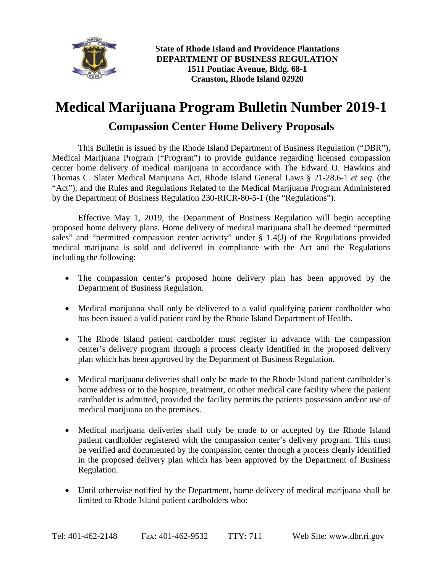

## **Medical Marijuana Program Bulletin Number 2019-1 Compassion Center Home Delivery Proposals**

This Bulletin is issued by the Rhode Island Department of Business Regulation ("DBR"), Medical Marijuana Program ("Program") to provide guidance regarding licensed compassion center home delivery of medical marijuana in accordance with The Edward O. Hawkins and Thomas C. Slater Medical Marijuana Act, Rhode Island General Laws § 21-28.6-1 *et seq*. (the "Act"), and the Rules and Regulations Related to the Medical Marijuana Program Administered by the Department of Business Regulation 230-RICR-80-5-1 (the "Regulations").

Effective May 1, 2019, the Department of Business Regulation will begin accepting proposed home delivery plans. Home delivery of medical marijuana shall be deemed "permitted sales" and "permitted compassion center activity" under  $\S$  1.4(J) of the Regulations provided medical marijuana is sold and delivered in compliance with the Act and the Regulations including the following:

- The compassion center's proposed home delivery plan has been approved by the Department of Business Regulation.
- Medical marijuana shall only be delivered to a valid qualifying patient cardholder who has been issued a valid patient card by the Rhode Island Department of Health.
- The Rhode Island patient cardholder must register in advance with the compassion center's delivery program through a process clearly identified in the proposed delivery plan which has been approved by the Department of Business Regulation.
- Medical marijuana deliveries shall only be made to the Rhode Island patient cardholder's home address or to the hospice, treatment, or other medical care facility where the patient cardholder is admitted, provided the facility permits the patients possession and/or use of medical marijuana on the premises.
- Medical marijuana deliveries shall only be made to or accepted by the Rhode Island patient cardholder registered with the compassion center's delivery program. This must be verified and documented by the compassion center through a process clearly identified in the proposed delivery plan which has been approved by the Department of Business Regulation.
- Until otherwise notified by the Department, home delivery of medical marijuana shall be limited to Rhode Island patient cardholders who: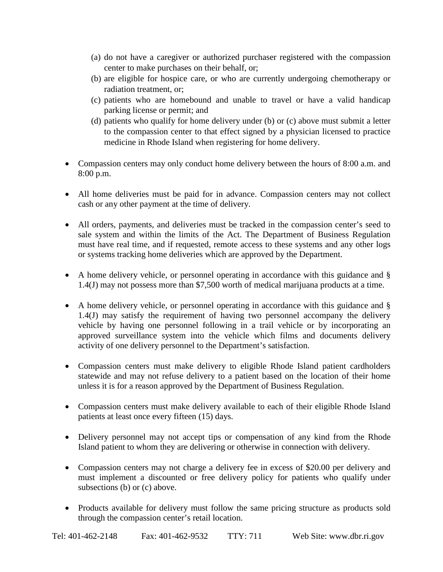- (a) do not have a caregiver or authorized purchaser registered with the compassion center to make purchases on their behalf, or;
- (b) are eligible for hospice care, or who are currently undergoing chemotherapy or radiation treatment, or;
- (c) patients who are homebound and unable to travel or have a valid handicap parking license or permit; and
- (d) patients who qualify for home delivery under (b) or (c) above must submit a letter to the compassion center to that effect signed by a physician licensed to practice medicine in Rhode Island when registering for home delivery.
- Compassion centers may only conduct home delivery between the hours of 8:00 a.m. and 8:00 p.m.
- All home deliveries must be paid for in advance. Compassion centers may not collect cash or any other payment at the time of delivery.
- All orders, payments, and deliveries must be tracked in the compassion center's seed to sale system and within the limits of the Act. The Department of Business Regulation must have real time, and if requested, remote access to these systems and any other logs or systems tracking home deliveries which are approved by the Department.
- A home delivery vehicle, or personnel operating in accordance with this guidance and § 1.4(J) may not possess more than \$7,500 worth of medical marijuana products at a time.
- A home delivery vehicle, or personnel operating in accordance with this guidance and § 1.4(J) may satisfy the requirement of having two personnel accompany the delivery vehicle by having one personnel following in a trail vehicle or by incorporating an approved surveillance system into the vehicle which films and documents delivery activity of one delivery personnel to the Department's satisfaction.
- Compassion centers must make delivery to eligible Rhode Island patient cardholders statewide and may not refuse delivery to a patient based on the location of their home unless it is for a reason approved by the Department of Business Regulation.
- Compassion centers must make delivery available to each of their eligible Rhode Island patients at least once every fifteen (15) days.
- Delivery personnel may not accept tips or compensation of any kind from the Rhode Island patient to whom they are delivering or otherwise in connection with delivery.
- Compassion centers may not charge a delivery fee in excess of \$20.00 per delivery and must implement a discounted or free delivery policy for patients who qualify under subsections (b) or (c) above.
- Products available for delivery must follow the same pricing structure as products sold through the compassion center's retail location.